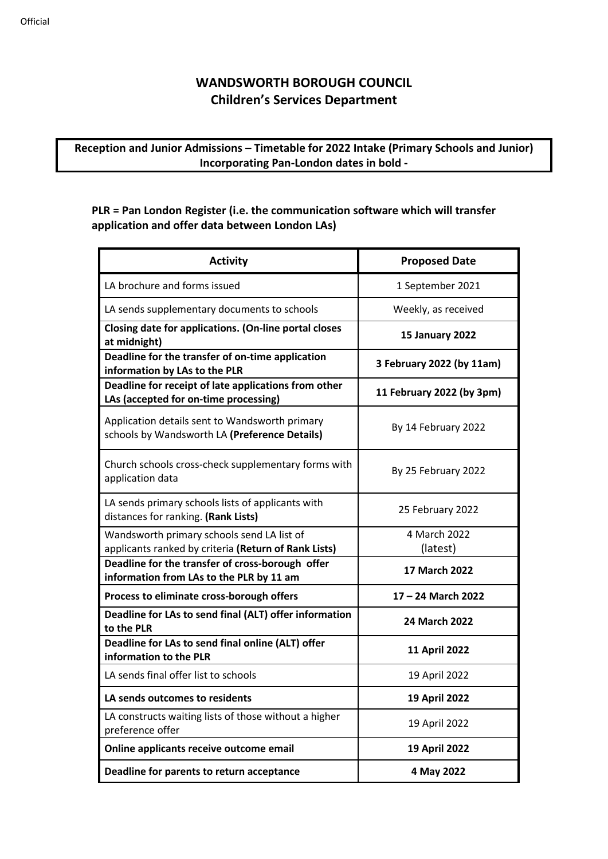## **WANDSWORTH BOROUGH COUNCIL Children's Services Department**

## **Reception and Junior Admissions – Timetable for 2022 Intake (Primary Schools and Junior) Incorporating Pan-London dates in bold -**

## **PLR = Pan London Register (i.e. the communication software which will transfer application and offer data between London LAs)**

| <b>Activity</b>                                                                                    | <b>Proposed Date</b>      |
|----------------------------------------------------------------------------------------------------|---------------------------|
| LA brochure and forms issued                                                                       | 1 September 2021          |
| LA sends supplementary documents to schools                                                        | Weekly, as received       |
| Closing date for applications. (On-line portal closes<br>at midnight)                              | <b>15 January 2022</b>    |
| Deadline for the transfer of on-time application<br>information by LAs to the PLR                  | 3 February 2022 (by 11am) |
| Deadline for receipt of late applications from other<br>LAs (accepted for on-time processing)      | 11 February 2022 (by 3pm) |
| Application details sent to Wandsworth primary<br>schools by Wandsworth LA (Preference Details)    | By 14 February 2022       |
| Church schools cross-check supplementary forms with<br>application data                            | By 25 February 2022       |
| LA sends primary schools lists of applicants with<br>distances for ranking. (Rank Lists)           | 25 February 2022          |
| Wandsworth primary schools send LA list of<br>applicants ranked by criteria (Return of Rank Lists) | 4 March 2022<br>(latest)  |
| Deadline for the transfer of cross-borough offer<br>information from LAs to the PLR by 11 am       | 17 March 2022             |
| Process to eliminate cross-borough offers                                                          | 17 - 24 March 2022        |
| Deadline for LAs to send final (ALT) offer information<br>to the PLR                               | 24 March 2022             |
| Deadline for LAs to send final online (ALT) offer<br>information to the PLR                        | 11 April 2022             |
| LA sends final offer list to schools                                                               | 19 April 2022             |
| LA sends outcomes to residents                                                                     | <b>19 April 2022</b>      |
| LA constructs waiting lists of those without a higher<br>preference offer                          | 19 April 2022             |
| Online applicants receive outcome email                                                            | <b>19 April 2022</b>      |
| Deadline for parents to return acceptance                                                          | 4 May 2022                |